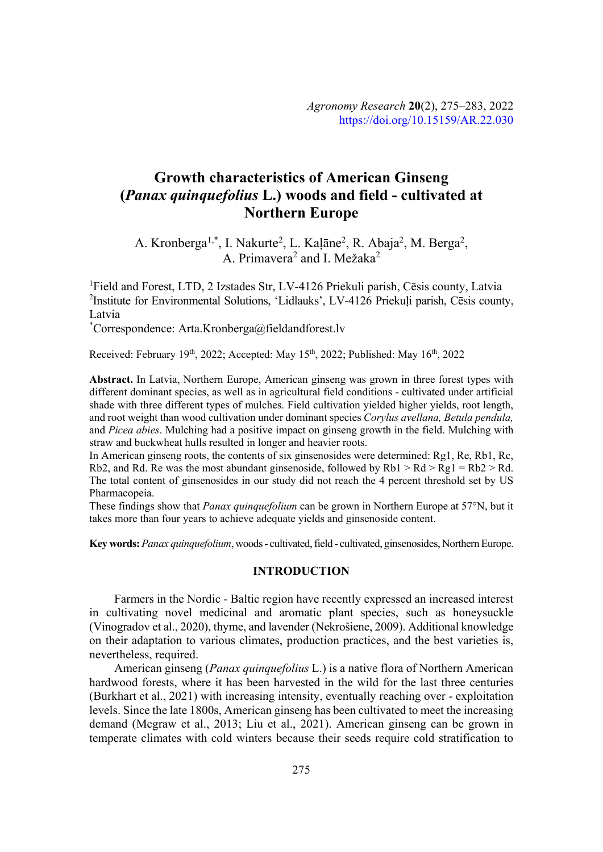# **Growth characteristics of American Ginseng (***Panax quinquefolius* **L.) woods and field - cultivated at Northern Europe**

A. Kronberga<sup>1,\*</sup>, I. Nakurte<sup>2</sup>, L. Kaļāne<sup>2</sup>, R. Abaja<sup>2</sup>, M. Berga<sup>2</sup>, A. Primavera<sup>2</sup> and I. Mežaka<sup>2</sup>

<sup>1</sup>Field and Forest, LTD, 2 Izstades Str, LV-4126 Priekuli parish, Cēsis county, Latvia <sup>2</sup>Institute for Environmental Solutions, 'Lidlauks', LV-4126 Priekuļi parish, Cēsis county, Latvia

\* Correspondence: Arta.Kronberga@fieldandforest.lv

Received: February 19th, 2022; Accepted: May 15th, 2022; Published: May 16th, 2022

**Abstract.** In Latvia, Northern Europe, American ginseng was grown in three forest types with different dominant species, as well as in agricultural field conditions - cultivated under artificial shade with three different types of mulches. Field cultivation yielded higher yields, root length, and root weight than wood cultivation under dominant species *Corvlus avellana*, *Betula pendula*, and *Picea abies*. Mulching had a positive impact on ginseng growth in the field. Mulching with straw and buckwheat hulls resulted in longer and heavier roots.

In American ginseng roots, the contents of six ginsenosides were determined: Rg1, Re, Rb1, Rc, Rb2, and Rd. Re was the most abundant ginsenoside, followed by  $Rb1 > Rd > Rg1 = Rb2 > Rd$ . The total content of ginsenosides in our study did not reach the 4 percent threshold set by US Pharmacopeia.

These findings show that *Panax quinquefolium* can be grown in Northern Europe at 57°N, but it takes more than four years to achieve adequate yields and ginsenoside content.

**Key words:***Panax quinquefolium*, woods - cultivated, field - cultivated, ginsenosides, Northern Europe.

### **INTRODUCTION**

Farmers in the Nordic - Baltic region have recently expressed an increased interest in cultivating novel medicinal and aromatic plant species, such as honeysuckle (Vinogradov et al., 2020), thyme, and lavender (Nekrošiene, 2009). Additional knowledge on their adaptation to various climates, production practices, and the best varieties is, nevertheless, required.

American ginseng (*Panax quinquefolius* L.) is a native flora of Northern American hardwood forests, where it has been harvested in the wild for the last three centuries (Burkhart et al., 2021) with increasing intensity, eventually reaching over - exploitation levels. Since the late 1800s, American ginseng has been cultivated to meet the increasing demand (Mcgraw et al., 2013; Liu et al., 2021). American ginseng can be grown in temperate climates with cold winters because their seeds require cold stratification to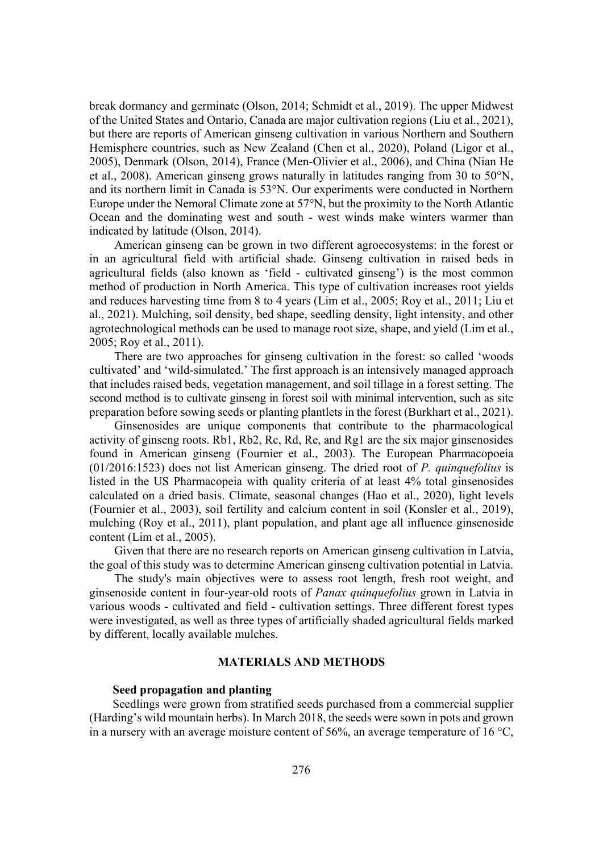break dormancy and germinate (Olson, 2014; Schmidt et al., 2019). The upper Midwest of the United States and Ontario, Canada are major cultivation regions (Liu et al., 2021), but there are reports of American ginseng cultivation in various Northern and Southern Hemisphere countries, such as New Zealand (Chen et al., 2020), Poland (Ligor et al., 2005), Denmark (Olson, 2014), France (Men-Olivier et al., 2006), and China (Nian He et al., 2008). American ginseng grows naturally in latitudes ranging from 30 to 50°N, and its northern limit in Canada is 53°N. Our experiments were conducted in Northern Europe under the Nemoral Climate zone at 57°N, but the proximity to the North Atlantic Ocean and the dominating west and south - west winds make winters warmer than indicated by latitude (Olson, 2014).

American ginseng can be grown in two different agroecosystems: in the forest or in an agricultural field with artificial shade. Ginseng cultivation in raised beds in agricultural fields (also known as 'field - cultivated ginseng') is the most common method of production in North America. This type of cultivation increases root yields and reduces harvesting time from 8 to 4 years (Lim et al., 2005; Roy et al., 2011; Liu et al., 2021). Mulching, soil density, bed shape, seedling density, light intensity, and other agrotechnological methods can be used to manage root size, shape, and yield (Lim et al., 2005; Roy et al., 2011).

There are two approaches for ginseng cultivation in the forest: so called 'woods cultivated' and 'wild-simulated.' The first approach is an intensively managed approach that includes raised beds, vegetation management, and soil tillage in a forest setting. The second method is to cultivate ginseng in forest soil with minimal intervention, such as site preparation before sowing seeds or planting plantlets in the forest (Burkhart et al., 2021).

Ginsenosides are unique components that contribute to the pharmacological activity of ginseng roots. Rb1, Rb2, Rc, Rd, Re, and Rg1 are the six major ginsenosides found in American ginseng (Fournier et al., 2003). The European Pharmacopoeia (01/2016:1523) does not list American ginseng. The dried root of *P. quinquefolius* is listed in the US Pharmacopeia with quality criteria of at least 4% total ginsenosides calculated on a dried basis. Climate, seasonal changes (Hao et al., 2020), light levels (Fournier et al., 2003), soil fertility and calcium content in soil (Konsler et al., 2019), mulching (Roy et al., 2011), plant population, and plant age all influence ginsenoside content (Lim et al., 2005).

Given that there are no research reports on American ginseng cultivation in Latvia, the goal of this study was to determine American ginseng cultivation potential in Latvia.

The study's main objectives were to assess root length, fresh root weight, and ginsenoside content in four-year-old roots of *Panax quinquefolius* grown in Latvia in various woods - cultivated and field - cultivation settings. Three different forest types were investigated, as well as three types of artificially shaded agricultural fields marked by different, locally available mulches.

## **MATERIALS AND METHODS**

#### **Seed propagation and planting**

Seedlings were grown from stratified seeds purchased from a commercial supplier (Harding's wild mountain herbs). In March 2018, the seeds were sown in pots and grown in a nursery with an average moisture content of 56%, an average temperature of 16 °C,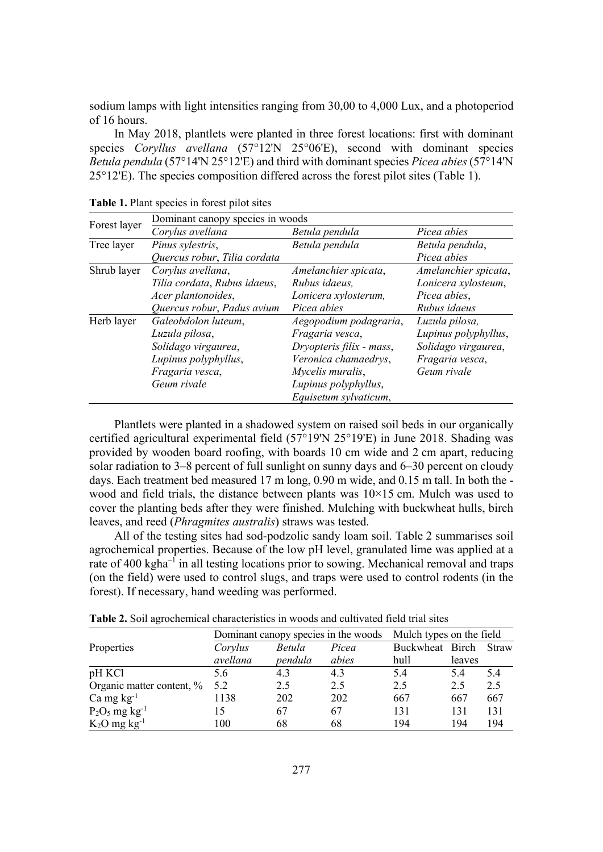sodium lamps with light intensities ranging from 30,00 to 4,000 Lux, and a photoperiod of 16 hours.

In May 2018, plantlets were planted in three forest locations: first with dominant species *Coryllus avellana* (57°12'N 25°06'E), second with dominant species *Betula pendula* (57°14'N 25°12'E) and third with dominant species *Picea abies* (57°14'N 25°12'E). The species composition differed across the forest pilot sites (Table 1).

|              | Dominant canopy species in woods |                          |                      |  |  |  |
|--------------|----------------------------------|--------------------------|----------------------|--|--|--|
| Forest layer | Corylus avellana                 | Betula pendula           | Picea abies          |  |  |  |
| Tree layer   | Pinus sylestris,                 | Betula pendula           | Betula pendula,      |  |  |  |
|              | Quercus robur, Tilia cordata     | Picea abies              |                      |  |  |  |
| Shrub layer  | Corylus avellana,                | Amelanchier spicata,     | Amelanchier spicata, |  |  |  |
|              | Tilia cordata, Rubus idaeus,     | Rubus idaeus,            | Lonicera xylosteum,  |  |  |  |
|              | Acer plantonoides,               | Lonicera xylosterum,     | Picea abies,         |  |  |  |
|              | Quercus robur, Padus avium       | Picea abies              | Rubus idaeus         |  |  |  |
| Herb layer   | Galeobdolon luteum,              | Aegopodium podagraria,   | Luzula pilosa,       |  |  |  |
|              | Luzula pilosa,                   | Fragaria vesca,          | Lupinus polyphyllus, |  |  |  |
|              | Solidago virgaurea,              | Dryopteris filix - mass, | Solidago virgaurea,  |  |  |  |
|              | Lupinus polyphyllus,             | Veronica chamaedrys,     | Fragaria vesca,      |  |  |  |
|              | Fragaria vesca,                  | Mycelis muralis,         | Geum rivale          |  |  |  |
|              | Geum rivale                      | Lupinus polyphyllus,     |                      |  |  |  |
|              |                                  | Equisetum sylvaticum,    |                      |  |  |  |

**Table 1.** Plant species in forest pilot sites

Plantlets were planted in a shadowed system on raised soil beds in our organically certified agricultural experimental field (57°19'N 25°19'E) in June 2018. Shading was provided by wooden board roofing, with boards 10 cm wide and 2 cm apart, reducing solar radiation to 3–8 percent of full sunlight on sunny days and 6–30 percent on cloudy days. Each treatment bed measured 17 m long, 0.90 m wide, and 0.15 m tall. In both the wood and field trials, the distance between plants was  $10\times15$  cm. Mulch was used to cover the planting beds after they were finished. Mulching with buckwheat hulls, birch leaves, and reed *(Phragmites australis)* straws was tested.

All of the testing sites had sod-podzolic sandy loam soil. Table 2 summarises soil agrochemical properties. Because of the low pH level, granulated lime was applied at a rate of 400 kgha<sup>-1</sup> in all testing locations prior to sowing. Mechanical removal and traps (on the field) were used to control slugs, and traps were used to control rodents (in the forest). If necessary, hand weeding was performed.

|                              | Dominant canopy species in the woods |         |       | Mulch types on the field |        |              |
|------------------------------|--------------------------------------|---------|-------|--------------------------|--------|--------------|
| Properties                   | Corylus                              | Betula  | Picea | Buckwheat Birch          |        | <b>Straw</b> |
|                              | avellana                             | pendula | abies | hull                     | leaves |              |
| pH KCl                       | 5.6                                  | 4.3     | 4.3   | 5.4                      | 5.4    | 5.4          |
| Organic matter content, %    | 5.2                                  | 2.5     | 2.5   | 2.5                      | 2.5    | 2.5          |
| $Ca$ mg $kg^{-1}$            | 1138                                 | 202     | 202   | 667                      | 667    | 667          |
| $P_2O_5$ mg kg <sup>-1</sup> | 15                                   | 67      | 67    | 131                      | 131    | 131          |
| $K_2O$ mg $kg^{-1}$          | 100                                  | 68      | 68    | 194                      | 194    | 194          |

**Table 2.** Soil agrochemical characteristics in woods and cultivated field trial sites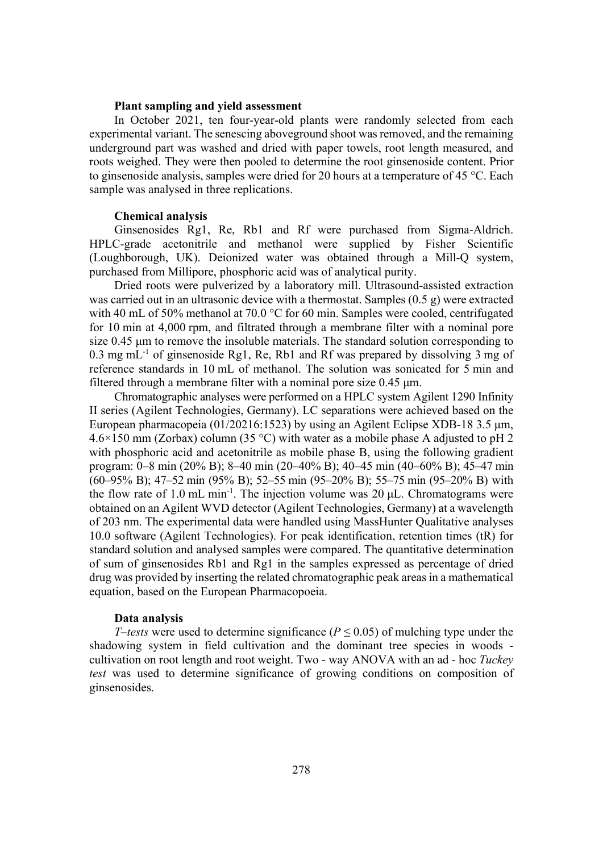#### **Plant sampling and yield assessment**

In October 2021, ten four-year-old plants were randomly selected from each experimental variant. The senescing aboveground shoot was removed, and the remaining underground part was washed and dried with paper towels, root length measured, and roots weighed. They were then pooled to determine the root ginsenoside content. Prior to ginsenoside analysis, samples were dried for 20 hours at a temperature of 45 °C. Each sample was analysed in three replications.

# **Chemical analysis**

Ginsenosides Rg1, Re, Rb1 and Rf were purchased from Sigma-Aldrich. HPLC-grade acetonitrile and methanol were supplied by Fisher Scientific (Loughborough, UK). Deionized water was obtained through a Mill-Q system, purchased from Millipore, phosphoric acid was of analytical purity.

Dried roots were pulverized by a laboratory mill. Ultrasound-assisted extraction was carried out in an ultrasonic device with a thermostat. Samples  $(0.5 \text{ g})$  were extracted with 40 mL of 50% methanol at 70.0 °C for 60 min. Samples were cooled, centrifugated for 10 min at 4,000 rpm, and filtrated through a membrane filter with a nominal pore size  $0.45$  µm to remove the insoluble materials. The standard solution corresponding to 0.3 mg mL $^{-1}$  of ginsenoside Rg1, Re, Rb1 and Rf was prepared by dissolving 3 mg of reference standards in 10 mL of methanol. The solution was sonicated for 5 min and filtered through a membrane filter with a nominal pore size  $0.45 \mu$ m.

Chromatographic analyses were performed on a HPLC system Agilent 1290 Infinity II series (Agilent Technologies, Germany). LC separations were achieved based on the European pharmacopeia (01/20216:1523) by using an Agilent Eclipse XDB-18 3.5  $\mu$ m, 4.6×150 mm (Zorbax) column (35 °C) with water as a mobile phase A adjusted to pH 2 with phosphoric acid and acetonitrile as mobile phase B, using the following gradient program: 0–8 min (20% B); 8–40 min (20–40% B); 40–45 min (40–60% B); 45–47 min (60–95% B); 47–52 min (95% B); 52–55 min (95–20% B); 55–75 min (95–20% B) with the flow rate of 1.0 mL min<sup>-1</sup>. The injection volume was 20  $\mu$ L. Chromatograms were obtained on an Agilent WVD detector (Agilent Technologies, Germany) at a wavelength of 203 nm. The experimental data were handled using MassHunter Qualitative analyses 10.0 software (Agilent Technologies). For peak identification, retention times (tR) for standard solution and analysed samples were compared. The quantitative determination of sum of ginsenosides Rb1 and Rg1 in the samples expressed as percentage of dried drug was provided by inserting the related chromatographic peak areas in a mathematical equation, based on the European Pharmacopoeia.

#### **Data analysis**

*T*–*tests* were used to determine significance ( $P \le 0.05$ ) of mulching type under the shadowing system in field cultivation and the dominant tree species in woods cultivation on root length and root weight. Two - way ANOVA with an ad - hoc *Tuckey test* was used to determine significance of growing conditions on composition of ginsenosides.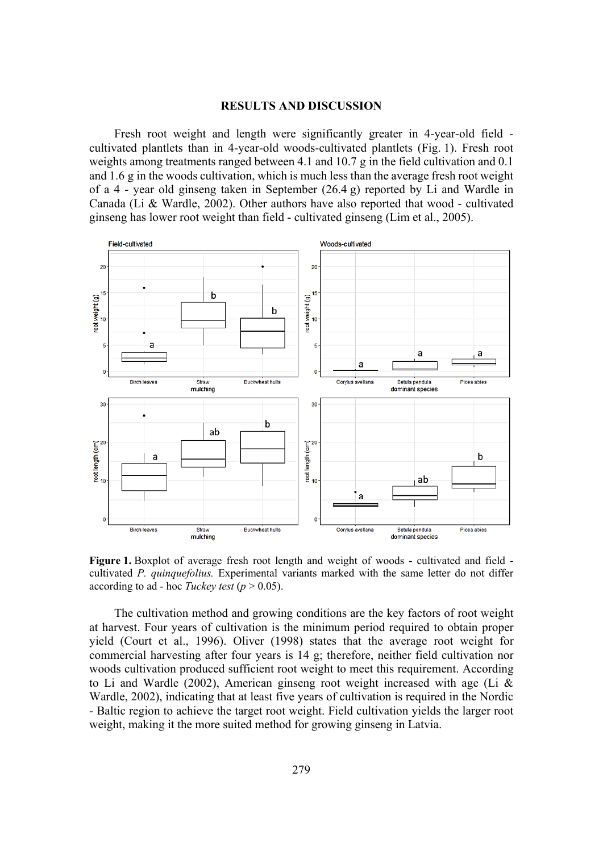# **RESULTS AND DISCUSSION**

Fresh root weight and length were significantly greater in 4-year-old field cultivated plantlets than in 4-year-old woods-cultivated plantlets (Fig. 1). Fresh root weights among treatments ranged between 4.1 and 10.7 g in the field cultivation and 0.1 and 1.6 g in the woods cultivation, which is much less than the average fresh root weight of a 4 - year old ginseng taken in September  $(26.4 g)$  reported by Li and Wardle in Canada (Li & Wardle, 2002). Other authors have also reported that wood - cultivated ginseng has lower root weight than field - cultivated ginseng (Lim et al., 2005).



**Figure 1.** Boxplot of average fresh root length and weight of woods - cultivated and field cultivated *P. quinquefolius.* Experimental variants marked with the same letter do not differ according to ad - hoc *Tuckey test* ( $p > 0.05$ ).

The cultivation method and growing conditions are the key factors of root weight at harvest. Four years of cultivation is the minimum period required to obtain proper yield (Court et al., 1996). Oliver (1998) states that the average root weight for commercial harvesting after four years is 14 g; therefore, neither field cultivation nor woods cultivation produced sufficient root weight to meet this requirement. According to Li and Wardle (2002), American ginseng root weight increased with age (Li & Wardle, 2002), indicating that at least five years of cultivation is required in the Nordic - Baltic region to achieve the target root weight. Field cultivation yields the larger root weight, making it the more suited method for growing ginseng in Latvia.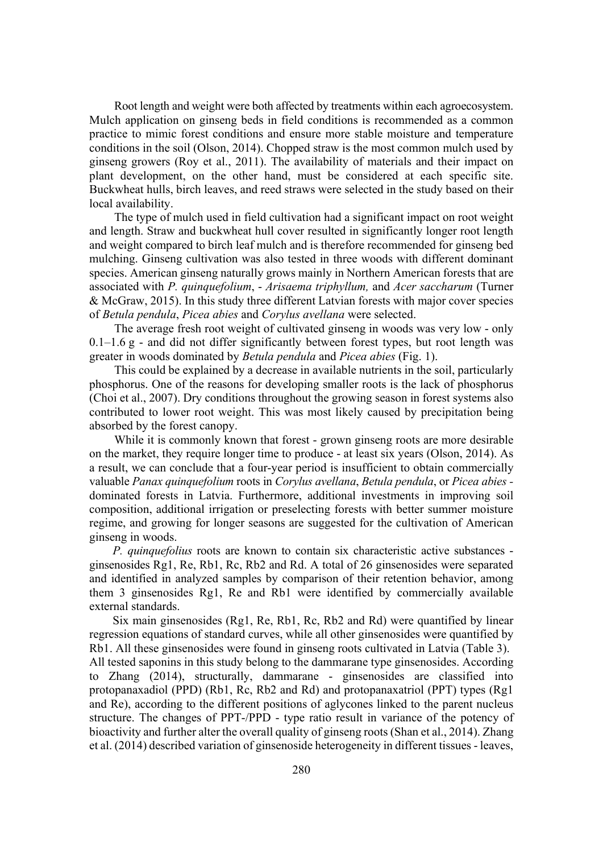Root length and weight were both affected by treatments within each agroecosystem. Mulch application on ginseng beds in field conditions is recommended as a common practice to mimic forest conditions and ensure more stable moisture and temperature conditions in the soil (Olson, 2014). Chopped straw is the most common mulch used by ginseng growers (Roy et al., 2011). The availability of materials and their impact on plant development, on the other hand, must be considered at each specific site. Buckwheat hulls, birch leaves, and reed straws were selected in the study based on their local availability.

The type of mulch used in field cultivation had a significant impact on root weight and length. Straw and buckwheat hull cover resulted in significantly longer root length and weight compared to birch leaf mulch and is therefore recommended for ginseng bed mulching. Ginseng cultivation was also tested in three woods with different dominant species. American ginseng naturally grows mainly in Northern American forests that are associated with *P. quinquefolium, - Arisaema triphyllum, and <i>Acer saccharum* (Turner & McGraw, 2015). In this study three different Latvian forests with major cover species of *Betula pendula, Picea abies* and *Corylus avellana* were selected.

The average fresh root weight of cultivated ginseng in woods was very low - only  $0.1-1.6$  g - and did not differ significantly between forest types, but root length was greater in woods dominated by *Betula pendula* and *Picea abies* (Fig. 1).

This could be explained by a decrease in available nutrients in the soil, particularly phosphorus. One of the reasons for developing smaller roots is the lack of phosphorus (Choi et al., 2007). Dry conditions throughout the growing season in forest systems also contributed to lower root weight. This was most likely caused by precipitation being absorbed by the forest canopy.

While it is commonly known that forest - grown ginseng roots are more desirable on the market, they require longer time to produce - at least six years (Olson, 2014). As a result, we can conclude that a four-year period is insufficient to obtain commercially valuable *Panax quinquefolium* roots in *Corvlus avellana*, *Betula pendula*, or *Picea abies* dominated forests in Latvia. Furthermore, additional investments in improving soil composition, additional irrigation or preselecting forests with better summer moisture regime, and growing for longer seasons are suggested for the cultivation of American ginseng in woods.

*P. quinquefolius* roots are known to contain six characteristic active substances ginsenosides Rg1, Re, Rb1, Rc, Rb2 and Rd. A total of 26 ginsenosides were separated and identified in analyzed samples by comparison of their retention behavior, among them 3 ginsenosides Rg1, Re and Rb1 were identified by commercially available external standards.

Six main ginsenosides (Rg1, Re, Rb1, Rc, Rb2 and Rd) were quantified by linear regression equations of standard curves, while all other ginsenosides were quantified by Rb1. All these ginsenosides were found in ginseng roots cultivated in Latvia (Table 3). All tested saponins in this study belong to the dammarane type ginsenosides. According to Zhang (2014), structurally, dammarane - ginsenosides are classified into protopanaxadiol (PPD) (Rb1, Rc, Rb2 and Rd) and protopanaxatriol (PPT) types (Rg1 and Re), according to the different positions of aglycones linked to the parent nucleus structure. The changes of PPT-/PPD - type ratio result in variance of the potency of bioactivity and further alter the overall quality of ginseng roots (Shan et al., 2014). Zhang et al. (2014) described variation of ginsenoside heterogeneity in different tissues - leaves,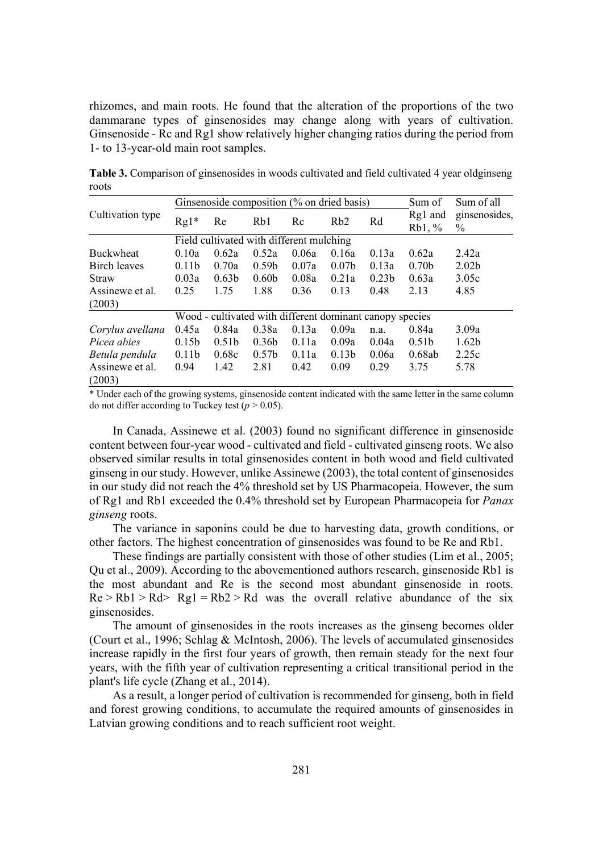rhizomes, and main roots. He found that the alteration of the proportions of the two dammarane types of ginsenosides may change along with years of cultivation. Ginsenoside - Rc and Rg1 show relatively higher changing ratios during the period from 1- to 13-year-old main root samples.

|                           | Ginsenoside composition (% on dried basis) |                   |                                                          |       |                   | Sum of            | Sum of all           |                       |  |
|---------------------------|--------------------------------------------|-------------------|----------------------------------------------------------|-------|-------------------|-------------------|----------------------|-----------------------|--|
| Cultivation type          | $Rg1*$                                     | Re                | Rb1                                                      | Rc    | R <sub>b</sub> 2  | Rd                | Rg1 and<br>$Rb1, \%$ | ginsenosides,<br>$\%$ |  |
|                           | Field cultivated with different mulching   |                   |                                                          |       |                   |                   |                      |                       |  |
| <b>Buckwheat</b>          | 0.10a                                      | 0.62a             | 0.52a                                                    | 0.06a | 0.16a             | 0.13a             | 0.62a                | 2.42a                 |  |
| Birch leaves              | 0.11 <sub>b</sub>                          | 0.70a             | 0.59 <sub>b</sub>                                        | 0.07a | 0.07 <sub>b</sub> | 0.13a             | 0.70 <sub>b</sub>    | 2.02 <sub>b</sub>     |  |
| Straw                     | 0.03a                                      | 0.63 <sub>b</sub> | 0.60 <sub>b</sub>                                        | 0.08a | 0.21a             | 0.23 <sub>b</sub> | 0.63a                | 3.05c                 |  |
| Assinewe et al.           | 0.25                                       | 1.75              | 1.88                                                     | 0.36  | 0.13              | 0.48              | 2.13                 | 4.85                  |  |
| (2003)                    |                                            |                   |                                                          |       |                   |                   |                      |                       |  |
|                           |                                            |                   | Wood - cultivated with different dominant canopy species |       |                   |                   |                      |                       |  |
| Corylus avellana          | 0.45a                                      | 0.84a             | 0.38a                                                    | 0.13a | 0.09a             | n.a.              | 0.84a                | 3.09a                 |  |
| Picea abies               | 0.15 <sub>b</sub>                          | 0.51 <sub>b</sub> | 0.36 <sub>b</sub>                                        | 0.11a | 0.09a             | 0.04a             | 0.51 <sub>b</sub>    | 1.62 <sub>b</sub>     |  |
| Betula pendula            | 0.11 <sub>b</sub>                          | 0.68c             | 0.57 <sub>b</sub>                                        | 0.11a | 0.13 <sub>b</sub> | 0.06a             | 0.68ab               | 2.25c                 |  |
| Assinewe et al.<br>(2003) | 0.94                                       | 1.42              | 2.81                                                     | 0.42  | 0.09              | 0.29              | 3.75                 | 5.78                  |  |

**Table 3.** Comparison of ginsenosides in woods cultivated and field cultivated 4 year oldginseng roots

\* Under each of the growing systems, ginsenoside content indicated with the same letter in the same column do not differ according to Tuckey test  $(p > 0.05)$ .

In Canada, Assinewe et al. (2003) found no significant difference in ginsenoside content between four-year wood - cultivated and field - cultivated ginseng roots. We also observed similar results in total ginsenosides content in both wood and field cultivated ginseng in our study. However, unlike Assinewe (2003), the total content of ginsenosides in our study did not reach the 4% threshold set by US Pharmacopeia. However, the sum of Rg1 and Rb1 exceeded the 0.4% threshold set by European Pharmacopeia for *Panax ginseng* roots.

The variance in saponins could be due to harvesting data, growth conditions, or other factors. The highest concentration of ginsenosides was found to be Re and Rb1.

These findings are partially consistent with those of other studies (Lim et al., 2005; Qu et al., 2009). According to the abovementioned authors research, ginsenoside Rb1 is the most abundant and Re is the second most abundant ginsenoside in roots.  $Re > Rb1 > Rd > Rg1 = Rb2 > Rd$  was the overall relative abundance of the six ginsenosides.

The amount of ginsenosides in the roots increases as the ginseng becomes older (Court et al., 1996; Schlag & McIntosh, 2006). The levels of accumulated ginsenosides increase rapidly in the first four years of growth, then remain steady for the next four years, with the fifth year of cultivation representing a critical transitional period in the plant's life cycle (Zhang et al., 2014).

As a result, a longer period of cultivation is recommended for ginseng, both in field and forest growing conditions, to accumulate the required amounts of ginsenosides in Latvian growing conditions and to reach sufficient root weight.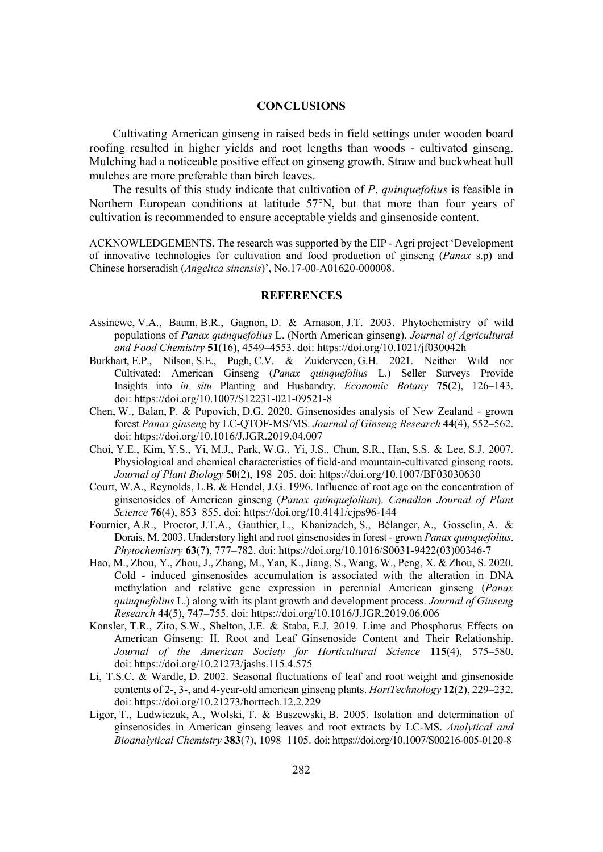## **CONCLUSIONS**

Cultivating American ginseng in raised beds in field settings under wooden board roofing resulted in higher yields and root lengths than woods - cultivated ginseng. Mulching had a noticeable positive effect on ginseng growth. Straw and buckwheat hull mulches are more preferable than birch leaves.

The results of this study indicate that cultivation of *P*. *quinquefolius* is feasible in Northern European conditions at latitude 57°N, but that more than four years of cultivation is recommended to ensure acceptable yields and ginsenoside content.

ACKNOWLEDGEMENTS. The research was supported by the EIP - Agri project 'Development of innovative technologies for cultivation and food production of ginseng (*Panax* s.p) and Chinese horseradish (*Angelica sinensis*)', No.17-00-A01620-000008.

#### **REFERENCES**

- Assinewe, V.A., Baum, B.R., Gagnon, D. & Arnason, J.T. 2003. Phytochemistry of wild populations of *Panax quinquefolius* L. (North American ginseng). *Journal of Agricultural* and Food Chemistry 51(16), 4549–4553. doi: https://doi.org/10.1021/jf030042h
- Burkhart, E.P., Nilson, S.E., Pugh, C.V. & Zuiderveen, G.H. 2021. Neither Wild nor Cultivated: American Ginseng (*Panax quinquefolius* L.) Seller Surveys Provide Insights into *in situ* Planting and Husbandry. *Economic Botany* 75(2), 126–143. doi: https://doi.org/10.1007/S12231-021-09521-8
- Chen, W., Balan, P. & Popovich, D.G. 2020. Ginsenosides analysis of New Zealand grown forest *Panax ginseng* by LC-QTOF-MS/MS. *Journal of Ginseng Research* 44(4), 552–562. doi: https://doi.org/10.1016/J.JGR.2019.04.007
- Choi, Y.E., Kim, Y.S., Yi, M.J., Park, W.G., Yi, J.S., Chun, S.R., Han, S.S. & Lee, S.J. 2007. Physiological and chemical characteristics of field-and mountain-cultivated ginseng roots. *Journal of Plant Biology* **50**(2), 198–205. doi: https://doi.org/10.1007/BF03030630
- Court, W.A., Reynolds, L.B. & Hendel, J.G. 1996. Influence of root age on the concentration of ginsenosides of American ginseng (*Panax quinquefolium*). *Canadian Journal of Plant Science* **76**(4), 853–855. doi: https://doi.org/10.4141/cjps96-144
- Fournier, A.R., Proctor, J.T.A., Gauthier, L., Khanizadeh, S., Bélanger, A., Gosselin, A. & Dorais, M. 2003. Understory light and root ginsenosides in forest - grown *Panax quinquefolius*. *3K\WRFKHPLVWU\* **63**(7), 777–782. doi: https://doi.org/10.1016/S0031-9422(03)00346-7
- Hao, M., Zhou, Y., Zhou, J., Zhang, M., Yan, K., Jiang, S., Wang, W., Peng, X. & Zhou, S. 2020. Cold - induced ginsenosides accumulation is associated with the alteration in DNA methylation and relative gene expression in perennial American ginseng (*Panax quinquefolius* L.) along with its plant growth and development process. *Journal of Ginseng Research* **44**(5), 747–755. doi: https://doi.org/10.1016/J.JGR.2019.06.006
- Konsler, T.R., Zito, S.W., Shelton, J.E. & Staba, E.J. 2019. Lime and Phosphorus Effects on American Ginseng: II. Root and Leaf Ginsenoside Content and Their Relationship. *Journal of the American Society for Horticultural Science* 115(4), 575–580. doi: https://doi.org/10.21273/jashs.115.4.575
- Li, T.S.C. & Wardle, D. 2002. Seasonal fluctuations of leaf and root weight and ginsenoside contents of 2-, 3-, and 4-year-old american ginseng plants. *HortTechnology* 12(2), 229–232. doi: https://doi.org/10.21273/horttech.12.2.229
- Ligor, T., Ludwiczuk, A., Wolski, T. & Buszewski, B. 2005. Isolation and determination of ginsenosides in American ginseng leaves and root extracts by LC-MS. *Analytical and %LRDQDO\WLFDO&KHPLVWU\* **383**(7), 1098–1105. doi: https://doi.org/10.1007/S00216-005-0120-8